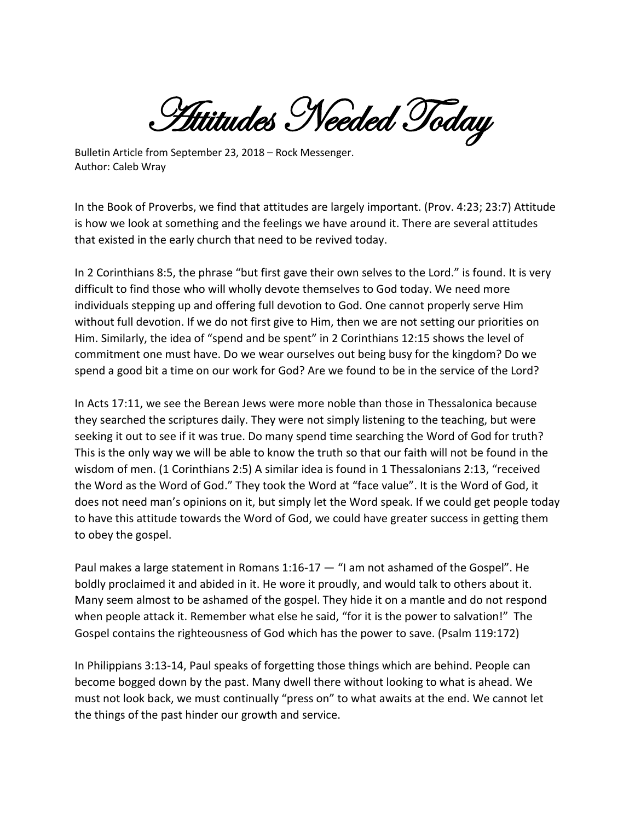**Attitudes Needed Today** 

Bulletin Article from September 23, 2018 – Rock Messenger. Author: Caleb Wray

In the Book of Proverbs, we find that attitudes are largely important. (Prov. 4:23; 23:7) Attitude is how we look at something and the feelings we have around it. There are several attitudes that existed in the early church that need to be revived today.

In 2 Corinthians 8:5, the phrase "but first gave their own selves to the Lord." is found. It is very difficult to find those who will wholly devote themselves to God today. We need more individuals stepping up and offering full devotion to God. One cannot properly serve Him without full devotion. If we do not first give to Him, then we are not setting our priorities on Him. Similarly, the idea of "spend and be spent" in 2 Corinthians 12:15 shows the level of commitment one must have. Do we wear ourselves out being busy for the kingdom? Do we spend a good bit a time on our work for God? Are we found to be in the service of the Lord?

In Acts 17:11, we see the Berean Jews were more noble than those in Thessalonica because they searched the scriptures daily. They were not simply listening to the teaching, but were seeking it out to see if it was true. Do many spend time searching the Word of God for truth? This is the only way we will be able to know the truth so that our faith will not be found in the wisdom of men. (1 Corinthians 2:5) A similar idea is found in 1 Thessalonians 2:13, "received the Word as the Word of God." They took the Word at "face value". It is the Word of God, it does not need man's opinions on it, but simply let the Word speak. If we could get people today to have this attitude towards the Word of God, we could have greater success in getting them to obey the gospel.

Paul makes a large statement in Romans  $1:16-17 -$  "I am not ashamed of the Gospel". He boldly proclaimed it and abided in it. He wore it proudly, and would talk to others about it. Many seem almost to be ashamed of the gospel. They hide it on a mantle and do not respond when people attack it. Remember what else he said, "for it is the power to salvation!" The Gospel contains the righteousness of God which has the power to save. (Psalm 119:172)

In Philippians 3:13-14, Paul speaks of forgetting those things which are behind. People can become bogged down by the past. Many dwell there without looking to what is ahead. We must not look back, we must continually "press on" to what awaits at the end. We cannot let the things of the past hinder our growth and service.